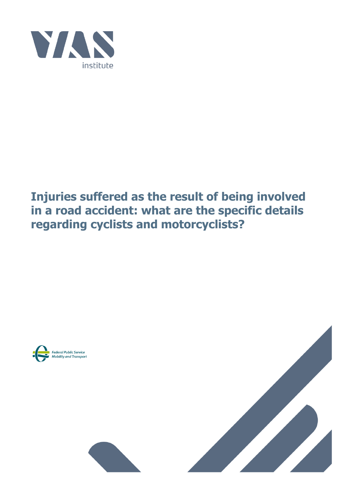

## **Injuries suffered as the result of being involved in a road accident: what are the specific details regarding cyclists and motorcyclists?**



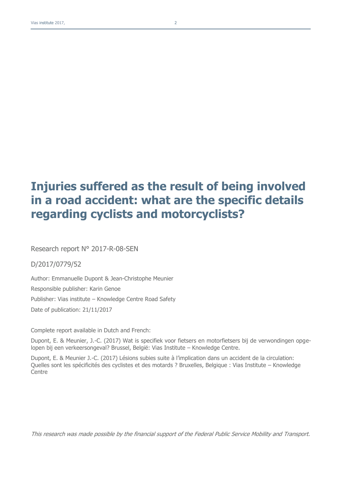## **Injuries suffered as the result of being involved in a road accident: what are the specific details regarding cyclists and motorcyclists?**

Research report N° 2017-R-08-SEN

D/2017/0779/52

Author: Emmanuelle Dupont & Jean-Christophe Meunier Responsible publisher: Karin Genoe Publisher: Vias institute – Knowledge Centre Road Safety Date of publication: 21/11/2017

Complete report available in Dutch and French:

Dupont, E. & Meunier, J.-C. (2017) Wat is specifiek voor fietsers en motorfietsers bij de verwondingen opgelopen bij een verkeersongeval? Brussel, België: Vias Institute – Knowledge Centre.

Dupont, E. & Meunier J.-C. (2017) Lésions subies suite à l'implication dans un accident de la circulation: Quelles sont les spécificités des cyclistes et des motards ? Bruxelles, Belgique : Vias Institute – Knowledge **Centre** 

This research was made possible by the financial support of the Federal Public Service Mobility and Transport.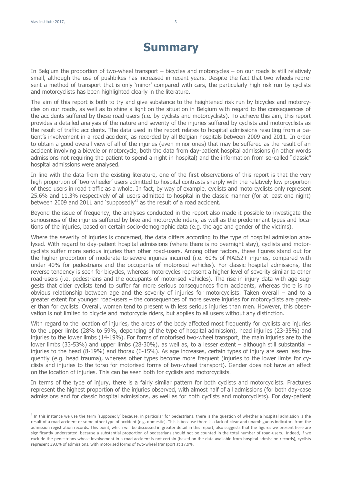$\overline{a}$ 

## **Summary**

In Belgium the proportion of two-wheel transport – bicycles and motorcycles – on our roads is still relatively small, although the use of pushbikes has increased in recent years. Despite the fact that two wheels represent a method of transport that is only 'minor' compared with cars, the particularly high risk run by cyclists and motorcyclists has been highlighted clearly in the literature.

The aim of this report is both to try and give substance to the heightened risk run by bicycles and motorcycles on our roads, as well as to shine a light on the situation in Belgium with regard to the consequences of the accidents suffered by these road-users (i.e. by cyclists and motorcyclists). To achieve this aim, this report provides a detailed analysis of the nature and severity of the injuries suffered by cyclists and motorcyclists as the result of traffic accidents. The data used in the report relates to hospital admissions resulting from a patient's involvement in a road accident, as recorded by all Belgian hospitals between 2009 and 2011. In order to obtain a good overall view of all of the injuries (even minor ones) that may be suffered as the result of an accident involving a bicycle or motorcycle, both the data from day-patient hospital admissions (in other words admissions not requiring the patient to spend a night in hospital) and the information from so-called "classic" hospital admissions were analysed.

In line with the data from the existing literature, one of the first observations of this report is that the very high proportion of 'two-wheeler' users admitted to hospital contrasts sharply with the relatively low proportion of these users in road traffic as a whole. In fact, by way of example, cyclists and motorcyclists only represent 25.6% and 11.3% respectively of all users admitted to hospital in the classic manner (for at least one night) between 2009 and 2011 and 'supposedly<sup>1</sup> as the result of a road accident.

Beyond the issue of frequency, the analyses conducted in the report also made it possible to investigate the seriousness of the injuries suffered by bike and motorcycle riders, as well as the predominant types and locations of the injuries, based on certain socio-demographic data (e.g. the age and gender of the victims).

Where the severity of injuries is concerned, the data differs according to the type of hospital admission analysed. With regard to day-patient hospital admissions (where there is no overnight stay), cyclists and motorcyclists suffer more serious injuries than other road-users. Among other factors, these figures stand out for the higher proportion of moderate-to-severe injuries incurred (i.e. 60% of MAIS2+ injuries, compared with under 40% for pedestrians and the occupants of motorised vehicles). For classic hospital admissions, the reverse tendency is seen for bicycles, whereas motorcycles represent a higher level of severity similar to other road-users (i.e. pedestrians and the occupants of motorised vehicles). The rise in injury data with age suggests that older cyclists tend to suffer far more serious consequences from accidents, whereas there is no obvious relationship between age and the severity of injuries for motorcyclists. Taken overall – and to a greater extent for younger road-users – the consequences of more severe injuries for motorcyclists are greater than for cyclists. Overall, women tend to present with less serious injuries than men. However, this observation is not limited to bicycle and motorcycle riders, but applies to all users without any distinction.

With regard to the location of injuries, the areas of the body affected most frequently for cyclists are injuries to the upper limbs (28% to 59%, depending of the type of hospital admission), head injuries (23-35%) and injuries to the lower limbs (14-19%). For forms of motorised two-wheel transport, the main injuries are to the lower limbs (33-53%) and upper limbs (28-30%), as well as, to a lesser extent – although still substantial – injuries to the head (8-19%) and thorax (6-15%). As age increases, certain types of injury are seen less frequently (e.g. head trauma), whereas other types become more frequent (injuries to the lower limbs for cyclists and injuries to the torso for motorised forms of two-wheel transport). Gender does not have an effect on the location of injuries. This can be seen both for cyclists and motorcyclists.

In terms of the type of injury, there is a fairly similar pattern for both cyclists and motorcyclists. Fractures represent the highest proportion of the injuries observed, with almost half of all admissions (for both day-case admissions and for classic hospital admissions, as well as for both cyclists and motorcyclists). For day-patient

<sup>&</sup>lt;sup>1</sup> In this instance we use the term 'supposedly' because, in particular for pedestrians, there is the question of whether a hospital admission is the result of a road accident or some other type of accident (e.g. domestic). This is because there is a lack of clear and unambiguous indicators from the admission registration records. This point, which will be discussed in greater detail in this report, also suggests that the figures we present here are significantly understated, because a substantial proportion of pedestrians should not be counted in the total number of road-users. Indeed, if we exclude the pedestrians whose involvement in a road accident is not certain (based on the data available from hospital admission records), cyclists represent 39.0% of admissions, with motorised forms of two-wheel transport at 17.9%.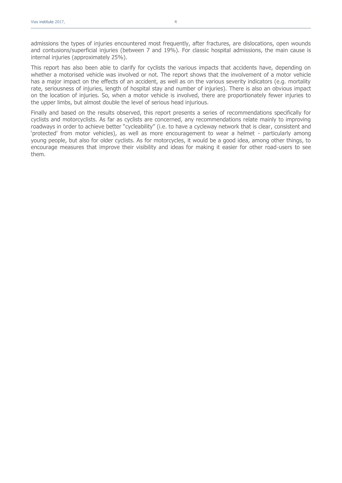admissions the types of injuries encountered most frequently, after fractures, are dislocations, open wounds and contusions/superficial injuries (between 7 and 19%). For classic hospital admissions, the main cause is internal injuries (approximately 25%).

This report has also been able to clarify for cyclists the various impacts that accidents have, depending on whether a motorised vehicle was involved or not. The report shows that the involvement of a motor vehicle has a major impact on the effects of an accident, as well as on the various severity indicators (e.g. mortality rate, seriousness of injuries, length of hospital stay and number of injuries). There is also an obvious impact on the location of injuries. So, when a motor vehicle is involved, there are proportionately fewer injuries to the upper limbs, but almost double the level of serious head injurious.

Finally and based on the results observed, this report presents a series of recommendations specifically for cyclists and motorcyclists. As far as cyclists are concerned, any recommendations relate mainly to improving roadways in order to achieve better "cycleability" (i.e. to have a cycleway network that is clear, consistent and 'protected' from motor vehicles), as well as more encouragement to wear a helmet - particularly among young people, but also for older cyclists. As for motorcycles, it would be a good idea, among other things, to encourage measures that improve their visibility and ideas for making it easier for other road-users to see them.